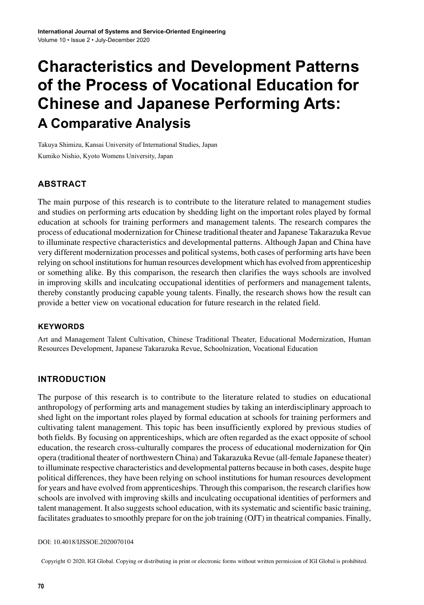# **Characteristics and Development Patterns of the Process of Vocational Education for Chinese and Japanese Performing Arts: A Comparative Analysis**

Takuya Shimizu, Kansai University of International Studies, Japan

Kumiko Nishio, Kyoto Womens University, Japan

# **ABSTRACT**

The main purpose of this research is to contribute to the literature related to management studies and studies on performing arts education by shedding light on the important roles played by formal education at schools for training performers and management talents. The research compares the process of educational modernization for Chinese traditional theater and Japanese Takarazuka Revue to illuminate respective characteristics and developmental patterns. Although Japan and China have very different modernization processes and political systems, both cases of performing arts have been relying on school institutions for human resources development which has evolved from apprenticeship or something alike. By this comparison, the research then clarifies the ways schools are involved in improving skills and inculcating occupational identities of performers and management talents, thereby constantly producing capable young talents. Finally, the research shows how the result can provide a better view on vocational education for future research in the related field.

### **Keywords**

Art and Management Talent Cultivation, Chinese Traditional Theater, Educational Modernization, Human Resources Development, Japanese Takarazuka Revue, Schoolnization, Vocational Education

### **INTRODUCTION**

The purpose of this research is to contribute to the literature related to studies on educational anthropology of performing arts and management studies by taking an interdisciplinary approach to shed light on the important roles played by formal education at schools for training performers and cultivating talent management. This topic has been insufficiently explored by previous studies of both fields. By focusing on apprenticeships, which are often regarded as the exact opposite of school education, the research cross-culturally compares the process of educational modernization for Qin opera (traditional theater of northwestern China) and Takarazuka Revue (all-female Japanese theater) to illuminate respective characteristics and developmental patterns because in both cases, despite huge political differences, they have been relying on school institutions for human resources development for years and have evolved from apprenticeships. Through this comparison, the research clarifies how schools are involved with improving skills and inculcating occupational identities of performers and talent management. It also suggestsschool education, with itssystematic and scientific basic training, facilitates graduates to smoothly prepare for on the job training (OJT) in theatrical companies. Finally,

#### DOI: 10.4018/IJSSOE.2020070104

Copyright © 2020, IGI Global. Copying or distributing in print or electronic forms without written permission of IGI Global is prohibited.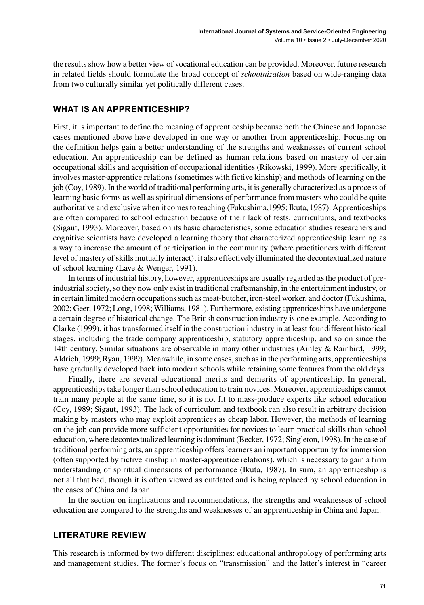the resultsshow how a better view of vocational education can be provided. Moreover, future research in related fields should formulate the broad concept of *schoolnization* based on wide-ranging data from two culturally similar yet politically different cases.

### **WHAT IS AN APPRENTICESHIP?**

First, it is important to define the meaning of apprenticeship because both the Chinese and Japanese cases mentioned above have developed in one way or another from apprenticeship. Focusing on the definition helps gain a better understanding of the strengths and weaknesses of current school education. An apprenticeship can be defined as human relations based on mastery of certain occupational skills and acquisition of occupational identities (Rikowski, 1999). More specifically, it involves master-apprentice relations (sometimes with fictive kinship) and methods of learning on the job (Coy, 1989). In the world of traditional performing arts, it is generally characterized as a process of learning basic forms as well as spiritual dimensions of performance from masters who could be quite authoritative and exclusive when it comesto teaching (Fukushima,1995; Ikuta, 1987). Apprenticeships are often compared to school education because of their lack of tests, curriculums, and textbooks (Sigaut, 1993). Moreover, based on its basic characteristics, some education studies researchers and cognitive scientists have developed a learning theory that characterized apprenticeship learning as a way to increase the amount of participation in the community (where practitioners with different level of mastery of skills mutually interact); it also effectively illuminated the decontextualized nature of school learning (Lave & Wenger, 1991).

In terms of industrial history, however, apprenticeships are usually regarded asthe product of preindustrial society, so they now only exist in traditional craftsmanship, in the entertainment industry, or in certain limited modern occupations such as meat-butcher, iron-steel worker, and doctor (Fukushima, 2002; Geer, 1972; Long, 1998; Williams, 1981). Furthermore, existing apprenticeships have undergone a certain degree of historical change. The British construction industry is one example. According to Clarke (1999), it has transformed itself in the construction industry in at least four different historical stages, including the trade company apprenticeship, statutory apprenticeship, and so on since the 14th century. Similar situations are observable in many other industries (Ainley & Rainbird, 1999; Aldrich, 1999; Ryan, 1999). Meanwhile, in some cases, such as in the performing arts, apprenticeships have gradually developed back into modern schools while retaining some features from the old days.

Finally, there are several educational merits and demerits of apprenticeship. In general, apprenticeships take longer than school education to train novices. Moreover, apprenticeships cannot train many people at the same time, so it is not fit to mass-produce experts like school education (Coy, 1989; Sigaut, 1993). The lack of curriculum and textbook can also result in arbitrary decision making by masters who may exploit apprentices as cheap labor. However, the methods of learning on the job can provide more sufficient opportunities for novices to learn practical skills than school education, where decontextualized learning is dominant (Becker, 1972; Singleton, 1998). In the case of traditional performing arts, an apprenticeship offerslearners an important opportunity for immersion (often supported by fictive kinship in master-apprentice relations), which is necessary to gain a firm understanding of spiritual dimensions of performance (Ikuta, 1987). In sum, an apprenticeship is not all that bad, though it is often viewed as outdated and is being replaced by school education in the cases of China and Japan.

In the section on implications and recommendations, the strengths and weaknesses of school education are compared to the strengths and weaknesses of an apprenticeship in China and Japan.

### **LITERATURE REVIEW**

This research is informed by two different disciplines: educational anthropology of performing arts and management studies. The former's focus on "transmission" and the latter's interest in "career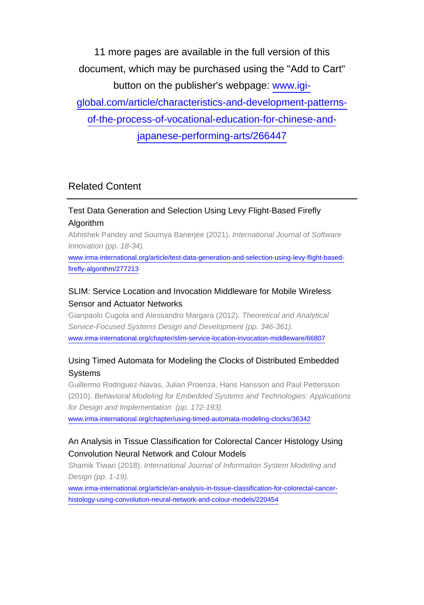11 more pages are available in the full version of this document, which may be purchased using the "Add to Cart" button on the publisher's webpage: [www.igi-](http://www.igi-global.com/article/characteristics-and-development-patterns-of-the-process-of-vocational-education-for-chinese-and-japanese-performing-arts/266447)

[global.com/article/characteristics-and-development-patterns-](http://www.igi-global.com/article/characteristics-and-development-patterns-of-the-process-of-vocational-education-for-chinese-and-japanese-performing-arts/266447)

[of-the-process-of-vocational-education-for-chinese-and-](http://www.igi-global.com/article/characteristics-and-development-patterns-of-the-process-of-vocational-education-for-chinese-and-japanese-performing-arts/266447)

[japanese-performing-arts/266447](http://www.igi-global.com/article/characteristics-and-development-patterns-of-the-process-of-vocational-education-for-chinese-and-japanese-performing-arts/266447)

# Related Content

# Test Data Generation and Selection Using Levy Flight-Based Firefly Algorithm

Abhishek Pandey and Soumya Banerjee (2021). International Journal of Software Innovation (pp. 18-34).

[www.irma-international.org/article/test-data-generation-and-selection-using-levy-flight-based](http://www.irma-international.org/article/test-data-generation-and-selection-using-levy-flight-based-firefly-algorithm/277213)[firefly-algorithm/277213](http://www.irma-international.org/article/test-data-generation-and-selection-using-levy-flight-based-firefly-algorithm/277213)

# SLIM: Service Location and Invocation Middleware for Mobile Wireless Sensor and Actuator Networks

Gianpaolo Cugola and Alessandro Margara (2012). Theoretical and Analytical Service-Focused Systems Design and Development (pp. 346-361). [www.irma-international.org/chapter/slim-service-location-invocation-middleware/66807](http://www.irma-international.org/chapter/slim-service-location-invocation-middleware/66807)

# Using Timed Automata for Modeling the Clocks of Distributed Embedded Systems

Guillermo Rodriguez-Navas, Julian Proenza, Hans Hansson and Paul Pettersson (2010). Behavioral Modeling for Embedded Systems and Technologies: Applications for Design and Implementation (pp. 172-193).

[www.irma-international.org/chapter/using-timed-automata-modeling-clocks/36342](http://www.irma-international.org/chapter/using-timed-automata-modeling-clocks/36342)

# An Analysis in Tissue Classification for Colorectal Cancer Histology Using Convolution Neural Network and Colour Models

Shamik Tiwari (2018). International Journal of Information System Modeling and Design (pp. 1-19).

[www.irma-international.org/article/an-analysis-in-tissue-classification-for-colorectal-cancer](http://www.irma-international.org/article/an-analysis-in-tissue-classification-for-colorectal-cancer-histology-using-convolution-neural-network-and-colour-models/220454)[histology-using-convolution-neural-network-and-colour-models/220454](http://www.irma-international.org/article/an-analysis-in-tissue-classification-for-colorectal-cancer-histology-using-convolution-neural-network-and-colour-models/220454)